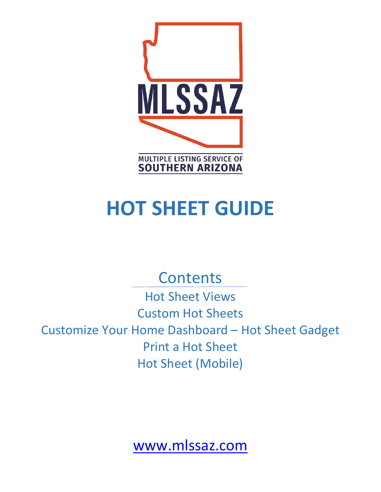

# **HOT SHEET GUIDE**

# **Contents**

Hot Sheet Views Custom Hot Sheets Customize Your Home Dashboard – Hot Sheet Gadget Print a Hot Sheet Hot Sheet (Mobile)

[www.mlssaz.com](http://www.mlssaz.com/)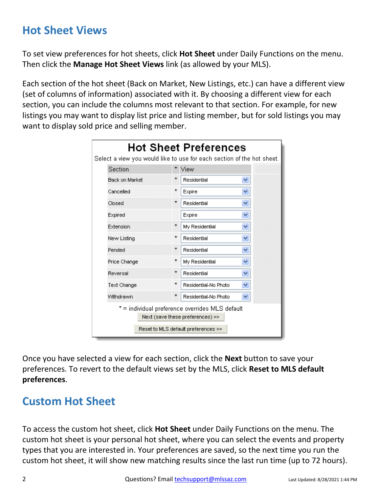# **Hot Sheet Views**

To set view preferences for hot sheets, click **Hot Sheet** under Daily Functions on the menu. Then click the **Manage Hot Sheet Views** link (as allowed by your MLS).

Each section of the hot sheet (Back on Market, New Listings, etc.) can have a different view (set of columns of information) associated with it. By choosing a different view for each section, you can include the columns most relevant to that section. For example, for new listings you may want to display list price and listing member, but for sold listings you may want to display sold price and selling member.

| <b>Hot Sheet Preferences</b><br>Select a view you would like to use for each section of the hot sheet. |         |                      |    |  |  |  |
|--------------------------------------------------------------------------------------------------------|---------|----------------------|----|--|--|--|
| Section                                                                                                |         | View                 |    |  |  |  |
| <b>Back on Market</b>                                                                                  |         | Residential          |    |  |  |  |
| Cancelled                                                                                              | ÷       | Expire               |    |  |  |  |
| Closed                                                                                                 | $\star$ | Residential          | v  |  |  |  |
| Expired                                                                                                |         | Expire               |    |  |  |  |
| Extension                                                                                              | $\star$ | My Residential       |    |  |  |  |
| New Listing                                                                                            | *       | Residential          |    |  |  |  |
| Pended                                                                                                 | $\star$ | Residential          | ٧  |  |  |  |
| Price Change                                                                                           | *       | My Residential       | v  |  |  |  |
| Reversal                                                                                               | $\star$ | Residential          | Y  |  |  |  |
| Text Change                                                                                            | ÷       | Residential-No Photo | ٧  |  |  |  |
| Withdrawn                                                                                              | $\star$ | Residential-No Photo | v. |  |  |  |
| * = individual preference overrides MLS default<br>Next (save these preferences) >>                    |         |                      |    |  |  |  |
| Reset to MLS default preferences >>                                                                    |         |                      |    |  |  |  |

Once you have selected a view for each section, click the **Next** button to save your preferences. To revert to the default views set by the MLS, click **Reset to MLS default preferences**.

# **Custom Hot Sheet**

To access the custom hot sheet, click **Hot Sheet** under Daily Functions on the menu. The custom hot sheet is your personal hot sheet, where you can select the events and property types that you are interested in. Your preferences are saved, so the next time you run the custom hot sheet, it will show new matching results since the last run time (up to 72 hours).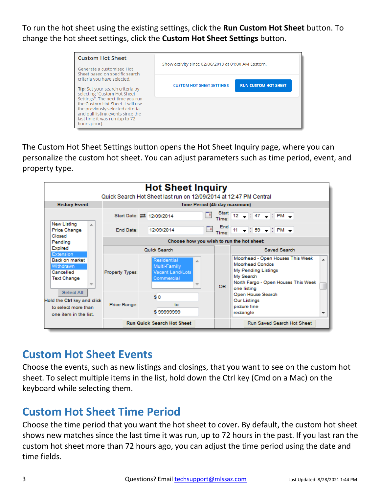To run the hot sheet using the existing settings, click the **Run Custom Hot Sheet** button. To change the hot sheet settings, click the **Custom Hot Sheet Settings** button.



The Custom Hot Sheet Settings button opens the Hot Sheet Inquiry page, where you can personalize the custom hot sheet. You can adjust parameters such as time period, event, and property type.



#### **Custom Hot Sheet Events**

Choose the events, such as new listings and closings, that you want to see on the custom hot sheet. To select multiple items in the list, hold down the Ctrl key (Cmd on a Mac) on the keyboard while selecting them.

#### **Custom Hot Sheet Time Period**

Choose the time period that you want the hot sheet to cover. By default, the custom hot sheet shows new matches since the last time it was run, up to 72 hours in the past. If you last ran the custom hot sheet more than 72 hours ago, you can adjust the time period using the date and time fields.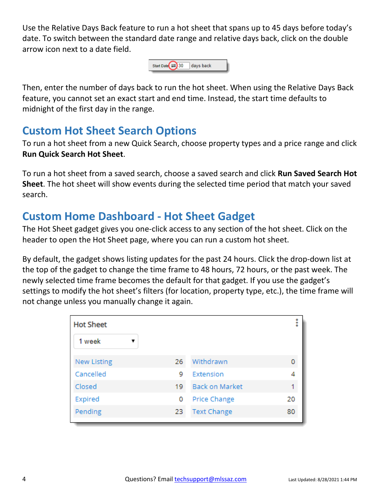Use the Relative Days Back feature to run a hot sheet that spans up to 45 days before today's date. To switch between the standard date range and relative days back, click on the double arrow icon next to a date field.



Then, enter the number of days back to run the hot sheet. When using the Relative Days Back feature, you cannot set an exact start and end time. Instead, the start time defaults to midnight of the first day in the range.

# **Custom Hot Sheet Search Options**

To run a hot sheet from a new Quick Search, choose property types and a price range and click **Run Quick Search Hot Sheet**.

To run a hot sheet from a saved search, choose a saved search and click **Run Saved Search Hot Sheet**. The hot sheet will show events during the selected time period that match your saved search.

# **Custom Home Dashboard - Hot Sheet Gadget**

The Hot Sheet gadget gives you one-click access to any section of the hot sheet. Click on the header to open the Hot Sheet page, where you can run a custom hot sheet.

By default, the gadget shows listing updates for the past 24 hours. Click the drop-down list at the top of the gadget to change the time frame to 48 hours, 72 hours, or the past week. The newly selected time frame becomes the default for that gadget. If you use the gadget's settings to modify the hot sheet's filters (for location, property type, etc.), the time frame will not change unless you manually change it again.

| <b>Hot Sheet</b>   |    |                       | i  |
|--------------------|----|-----------------------|----|
| 1 week<br>v        |    |                       |    |
| <b>New Listing</b> | 26 | Withdrawn             | 0  |
| Cancelled          | 9  | Extension             |    |
| Closed             | 19 | <b>Back on Market</b> |    |
| Expired            | 0  | <b>Price Change</b>   | 20 |
| Pending            | 23 | <b>Text Change</b>    | 80 |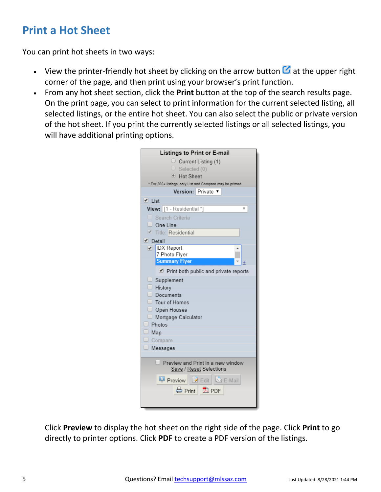# **Print a Hot Sheet**

You can print hot sheets in two ways:

- View the printer-friendly hot sheet by clicking on the arrow button  $\Box$  at the upper right corner of the page, and then print using your browser's print function.
- From any hot sheet section, click the **Print** button at the top of the search results page. On the print page, you can select to print information for the current selected listing, all selected listings, or the entire hot sheet. You can also select the public or private version of the hot sheet. If you print the currently selected listings or all selected listings, you will have additional printing options.

| Listings to Print or E-mail                                  |  |  |  |  |  |
|--------------------------------------------------------------|--|--|--|--|--|
| $\circ$ Current Listing (1)                                  |  |  |  |  |  |
| $\circ$ Selected (0)                                         |  |  |  |  |  |
| <sup>●</sup> Hot Sheet                                       |  |  |  |  |  |
| * For 200+ listings, only List and Compare may be printed    |  |  |  |  |  |
| Version: Private v                                           |  |  |  |  |  |
| $\blacksquare$ List                                          |  |  |  |  |  |
| View: [1 - Residential *]                                    |  |  |  |  |  |
| $\Box$ Search Criteria                                       |  |  |  |  |  |
| $\Box$ One Line                                              |  |  |  |  |  |
| Title: Residential                                           |  |  |  |  |  |
| Detail                                                       |  |  |  |  |  |
| DX Report                                                    |  |  |  |  |  |
| 7 Photo Flyer                                                |  |  |  |  |  |
| <b>Summary Flyer</b>                                         |  |  |  |  |  |
| Print both public and private reports                        |  |  |  |  |  |
| Supplement                                                   |  |  |  |  |  |
| $\Box$ History                                               |  |  |  |  |  |
| Documents                                                    |  |  |  |  |  |
| $\Box$ Tour of Homes                                         |  |  |  |  |  |
| Open Houses                                                  |  |  |  |  |  |
| Mortgage Calculator                                          |  |  |  |  |  |
| $\Box$ Photos                                                |  |  |  |  |  |
| $\Box$ Map                                                   |  |  |  |  |  |
| $\Box$ Compare                                               |  |  |  |  |  |
| $\Box$ Messages                                              |  |  |  |  |  |
|                                                              |  |  |  |  |  |
| Preview and Print in a new window<br>Save / Reset Selections |  |  |  |  |  |
| Preview Z Edit & E-Mail                                      |  |  |  |  |  |
|                                                              |  |  |  |  |  |
| <b>△</b> Print 2 PDF                                         |  |  |  |  |  |
|                                                              |  |  |  |  |  |
|                                                              |  |  |  |  |  |

Click **Preview** to display the hot sheet on the right side of the page. Click **Print** to go directly to printer options. Click **PDF** to create a PDF version of the listings.